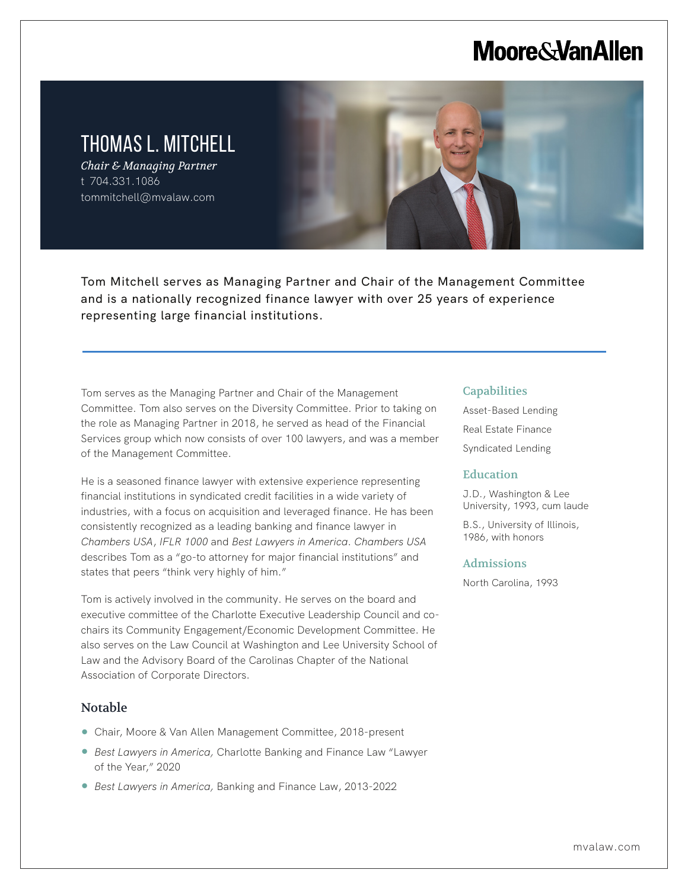# **Moore & Van Allen**

# THOMAS L. MITCHELL

*Chair & Managing Partner* t 704.331.1086 tommitchell@mvalaw.com

Tom Mitchell serves as Managing Partner and Chair of the Management Committee and is a nationally recognized finance lawyer with over 25 years of experience representing large financial institutions.

Tom serves as the Managing Partner and Chair of the Management Committee. Tom also serves on the Diversity Committee. Prior to taking on the role as Managing Partner in 2018, he served as head of the Financial Services group which now consists of over 100 lawyers, and was a member of the Management Committee.

He is a seasoned finance lawyer with extensive experience representing financial institutions in syndicated credit facilities in a wide variety of industries, with a focus on acquisition and leveraged finance. He has been consistently recognized as a leading banking and finance lawyer in *Chambers USA*, *IFLR 1000* and *Best Lawyers in America*. *Chambers USA* describes Tom as a "go-to attorney for major financial institutions" and states that peers "think very highly of him."

Tom is actively involved in the community. He serves on the board and executive committee of the Charlotte Executive Leadership Council and cochairs its Community Engagement/Economic Development Committee. He also serves on the Law Council at Washington and Lee University School of Law and the Advisory Board of the Carolinas Chapter of the National Association of Corporate Directors.

### Notable

L

- Chair, Moore & Van Allen Management Committee, 2018-present
- *Best Lawyers in America,* Charlotte Banking and Finance Law "Lawyer of the Year," 2020
- *Best Lawyers in America,* Banking and Finance Law, 2013-2022

#### **Capabilities**

Asset-Based Lending Real Estate Finance Syndicated Lending

#### **Education**

J.D., Washington & Lee University, 1993, cum laude

B.S., University of Illinois, 1986, with honors

#### Admissions

North Carolina, 1993